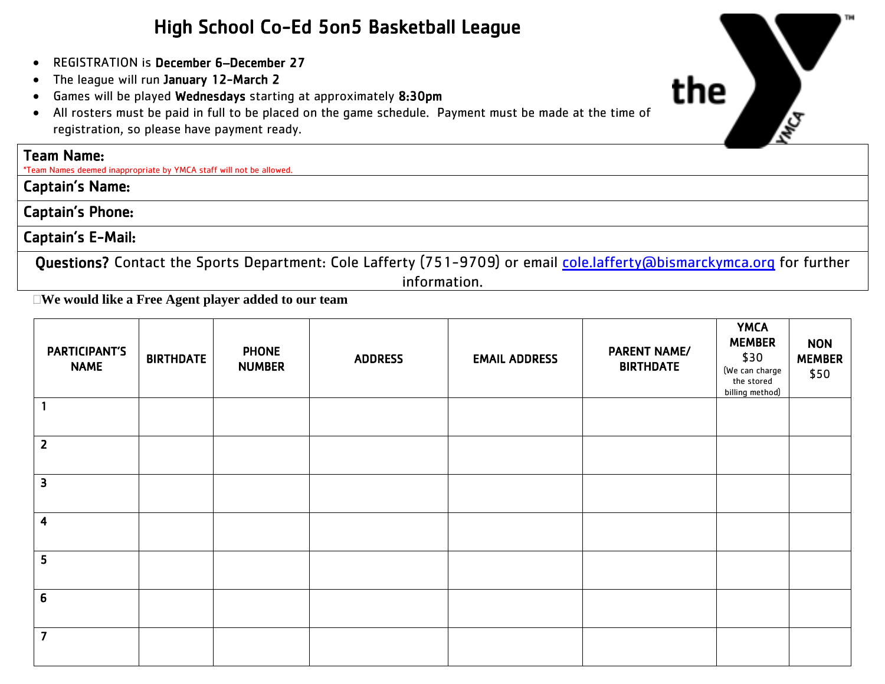## High School Co-Ed 5on5 Basketball League

- REGISTRATION is December 6–December 27
- The league will run January 12-March 2
- Games will be played Wednesdays starting at approximately 8:30pm
- All rosters must be paid in full to be placed on the game schedule. Payment must be made at the time of registration, so please have payment ready.

### Team Name:

\*Team Names deemed inappropriate by YMCA staff will not be allowed.

Captain's Name:

Captain's Phone:

### Captain's E-Mail:

Questions? Contact the Sports Department: Cole Lafferty (751-9709) or email [cole.lafferty@bismarckymca.org](mailto:cole.lafferty@bismarckymca.org) for further information.

**We would like a Free Agent player added to our team**

| <b>PARTICIPANT'S</b><br><b>NAME</b> | <b>BIRTHDATE</b> | <b>PHONE</b><br><b>NUMBER</b> | <b>ADDRESS</b> | <b>EMAIL ADDRESS</b> | <b>PARENT NAME/</b><br><b>BIRTHDATE</b> | <b>YMCA</b><br><b>MEMBER</b><br>\$30<br>(We can charge<br>the stored<br>billing method) | <b>NON</b><br><b>MEMBER</b><br>\$50 |
|-------------------------------------|------------------|-------------------------------|----------------|----------------------|-----------------------------------------|-----------------------------------------------------------------------------------------|-------------------------------------|
|                                     |                  |                               |                |                      |                                         |                                                                                         |                                     |
| $\overline{2}$                      |                  |                               |                |                      |                                         |                                                                                         |                                     |
| 3                                   |                  |                               |                |                      |                                         |                                                                                         |                                     |
| $\overline{\mathbf{4}}$             |                  |                               |                |                      |                                         |                                                                                         |                                     |
| $5\phantom{a}$                      |                  |                               |                |                      |                                         |                                                                                         |                                     |
| 6                                   |                  |                               |                |                      |                                         |                                                                                         |                                     |
| $\overline{7}$                      |                  |                               |                |                      |                                         |                                                                                         |                                     |